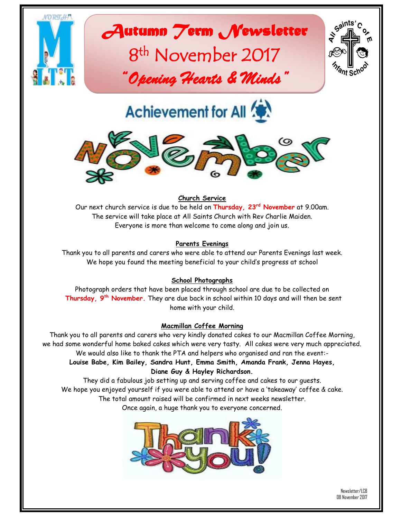

*Autumn Term Newsletter* 

# 8<sup>th</sup> November 2017 *"Opening Hearts & Minds"*



**Achievement for All <b>** 



# **Church Service**

Our next church service is due to be held on **Thursday, 23rd November** at 9.00am. The service will take place at All Saints Church with Rev Charlie Maiden. Everyone is more than welcome to come along and join us.

#### **Parents Evenings**

Thank you to all parents and carers who were able to attend our Parents Evenings last week. We hope you found the meeting beneficial to your child's progress at school

#### **School Photographs**

Photograph orders that have been placed through school are due to be collected on **Thursday, 9th November.** They are due back in school within 10 days and will then be sent home with your child.

#### **Macmillan Coffee Morning**

Thank you to all parents and carers who very kindly donated cakes to our Macmillan Coffee Morning, we had some wonderful home baked cakes which were very tasty. All cakes were very much appreciated. We would also like to thank the PTA and helpers who organised and ran the event:- **Louise Babe, Kim Bailey, Sandra Hunt, Emma Smith, Amanda Frank, Jenna Hayes,** 

#### **Diane Guy & Hayley Richardson.**

They did a fabulous job setting up and serving coffee and cakes to our guests. We hope you enjoyed yourself if you were able to attend or have a 'takeaway' coffee & cake. The total amount raised will be confirmed in next weeks newsletter. Once again, a huge thank you to everyone concerned.

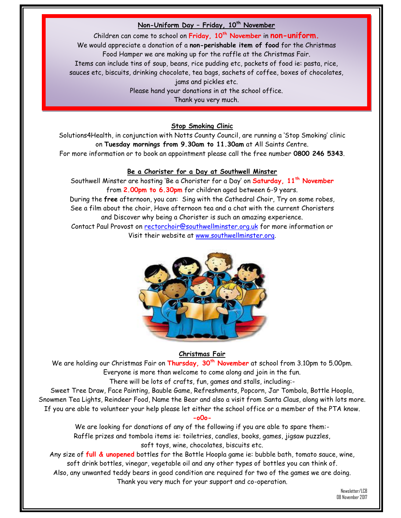#### **Non-Uniform Day – Friday, 10th November**

Children can come to school on **Friday, 10th November** in **non-uniform.** We would appreciate a donation of a **non-perishable item of food** for the Christmas Food Hamper we are making up for the raffle at the Christmas Fair. Items can include tins of soup, beans, rice pudding etc, packets of food ie: pasta, rice, sauces etc, biscuits, drinking chocolate, tea bags, sachets of coffee, boxes of chocolates, jams and pickles etc. Please hand your donations in at the school office. Thank you very much.

#### **Stop Smoking Clinic**

Solutions4Health, in conjunction with Notts County Council, are running a 'Stop Smoking' clinic on **Tuesday mornings from 9.30am to 11.30am** at All Saints Centre. For more information or to book an appointment please call the free number **0800 246 5343**.

#### **Be a Chorister for a Day at Southwell Minster**

Southwell Minster are hosting 'Be a Chorister for a Day' on **Saturday, 11th November** from **2.00pm to 6.30pm** for children aged between 6-9 years. During the **free** afternoon, you can: Sing with the Cathedral Choir, Try on some robes, See a film about the choir, Have afternoon tea and a chat with the current Choristers and Discover why being a Chorister is such an amazing experience. Contact Paul Provost on [rectorchoir@southwellminster.org.uk](mailto:rectorchoir@southwellminster.org.uk) for more information or Visit their website at [www.southwellminster.org.](http://www.southwellminster.org/)



#### **Christmas Fair**

We are holding our Christmas Fair on **Thursday, 30th November** at school from 3.10pm to 5.00pm. Everyone is more than welcome to come along and join in the fun.

There will be lots of crafts, fun, games and stalls, including:-

Sweet Tree Draw, Face Painting, Bauble Game, Refreshments, Popcorn, Jar Tombola, Bottle Hoopla, Snowmen Tea Lights, Reindeer Food, Name the Bear and also a visit from Santa Claus, along with lots more. If you are able to volunteer your help please let either the school office or a member of the PTA know.

**-o0o-**

We are looking for donations of any of the following if you are able to spare them:- Raffle prizes and tombola items ie: toiletries, candles, books, games, jigsaw puzzles, soft toys, wine, chocolates, biscuits etc.

Any size of **full & unopened** bottles for the Bottle Hoopla game ie: bubble bath, tomato sauce, wine, soft drink bottles, vinegar, vegetable oil and any other types of bottles you can think of. Also, any unwanted teddy bears in good condition are required for two of the games we are doing.

Thank you very much for your support and co-operation.

Newsletter/LCB 08 November 2017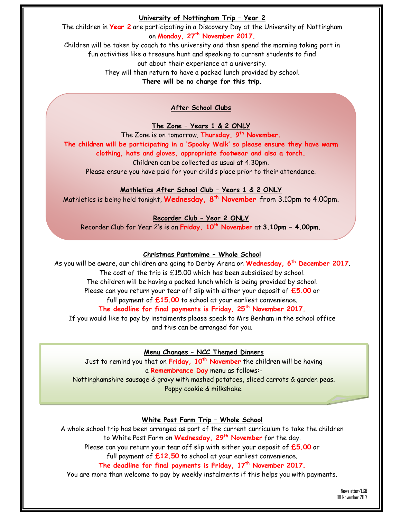#### **University of Nottingham Trip – Year 2**

The children in **Year 2** are participating in a Discovery Day at the University of Nottingham on **Monday, 27th November 2017.**

Children will be taken by coach to the university and then spend the morning taking part in fun activities like a treasure hunt and speaking to current students to find out about their experience at a university.

They will then return to have a packed lunch provided by school.

**There will be no charge for this trip.**

**After School Clubs**

**The Zone – Years 1 & 2 ONLY**

The Zone is on tomorrow, **Thursday, 9 th November. The children will be participating in a 'Spooky Walk' so please ensure they have warm clothing, hats and gloves, appropriate footwear and also a torch.**

Children can be collected as usual at 4.30pm.

Please ensure you have paid for your child's place prior to their attendance.

# **Mathletics After School Club – Years 1 & 2 ONLY**

Mathletics is being held tonight, **Wednesday, 8 th November** from 3.10pm to 4.00pm.

**Recorder Club – Year 2 ONLY**

Recorder Club for Year 2's is on **Friday, 10th November** at **3.10pm – 4.00pm.**

# **Christmas Pantomime – Whole School**

As you will be aware, our children are going to Derby Arena on **Wednesday, 6th December 2017**. The cost of the trip is £15.00 which has been subsidised by school. The children will be having a packed lunch which is being provided by school. Please can you return your tear off slip with either your deposit of **£5.00** or full payment of **£15.00** to school at your earliest convenience. **The deadline for final payments is Friday, 25th November 2017.** If you would like to pay by instalments please speak to Mrs Benham in the school office and this can be arranged for you.

**Menu Changes – NCC Themed Dinners** Just to remind you that on **Friday, 10th November** the children will be having a **Remembrance Day** menu as follows:- Nottinghamshire sausage & gravy with mashed potatoes, sliced carrots & garden peas.

Poppy cookie & milkshake.

# **White Post Farm Trip – Whole School**

A whole school trip has been arranged as part of the current curriculum to take the children to White Post Farm on **Wednesday, 29th November** for the day.

Please can you return your tear off slip with either your deposit of **£5.00** or

full payment of **£12.50** to school at your earliest convenience.

**The deadline for final payments is Friday, 17th November 2017.**

You are more than welcome to pay by weekly instalments if this helps you with payments.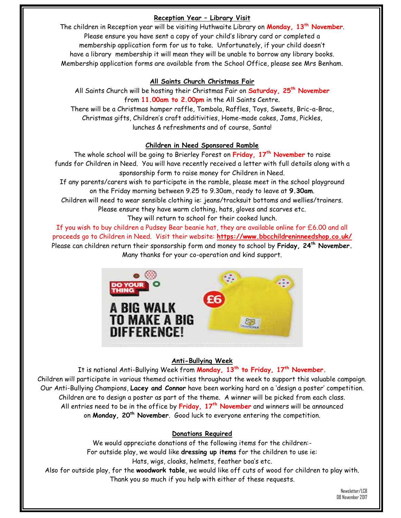# **Reception Year – Library Visit**

The children in Reception year will be visiting Huthwaite Library on **Monday, 13th November**. Please ensure you have sent a copy of your child's library card or completed a membership application form for us to take. Unfortunately, if your child doesn't have a library membership it will mean they will be unable to borrow any library books. Membership application forms are available from the School Office, please see Mrs Benham.

#### **All Saints Church Christmas Fair**

All Saints Church will be hosting their Christmas Fair on **Saturday, 25th November** from **11.00am to 2.00pm** in the All Saints Centre. There will be a Christmas hamper raffle, Tombola, Raffles, Toys, Sweets, Bric-a-Brac, Christmas gifts, Children's craft additivities, Home-made cakes, Jams, Pickles, lunches & refreshments and of course, Santa!

#### **Children in Need Sponsored Ramble**

The whole school will be going to Brierley Forest on **Friday, 17th November** to raise funds for Children in Need. You will have recently received a letter with full details along with a sponsorship form to raise money for Children in Need.

If any parents/carers wish to participate in the ramble, please meet in the school playground on the Friday morning between 9.25 to 9.30am, ready to leave at **9.30am**.

Children will need to wear sensible clothing ie: jeans/tracksuit bottoms and wellies/trainers.

Please ensure they have warm clothing, hats, gloves and scarves etc.

They will return to school for their cooked lunch.

If you wish to buy children a Pudsey Bear beanie hat, they are available online for £6.00 and all proceeds go to Children in Need. Visit their website: **https://www.bbcchildreninneedshop.co.uk/** Please can children return their sponsorship form and money to school by **Friday, 24th November.** Many thanks for your co-operation and kind support.



# **Anti-Bullying Week**

It is national Anti-Bullying Week from **Monday, 13th to Friday, 17th November.** Children will participate in various themed activities throughout the week to support this valuable campaign. Our Anti-Bullying Champions, **Lacey and Connor** have been working hard on a 'design a poster' competition. Children are to design a poster as part of the theme. A winner will be picked from each class. All entries need to be in the office by **Friday, 17th November** and winners will be announced on **Monday, 20th November**. Good luck to everyone entering the competition.

#### **Donations Required**

We would appreciate donations of the following items for the children:- For outside play, we would like **dressing up items** for the children to use ie: Hats, wigs, cloaks, helmets, feather boa's etc. Also for outside play, for the **woodwork table**, we would like off cuts of wood for children to play with. Thank you so much if you help with either of these requests.

> Newsletter/LCB 08 November 2017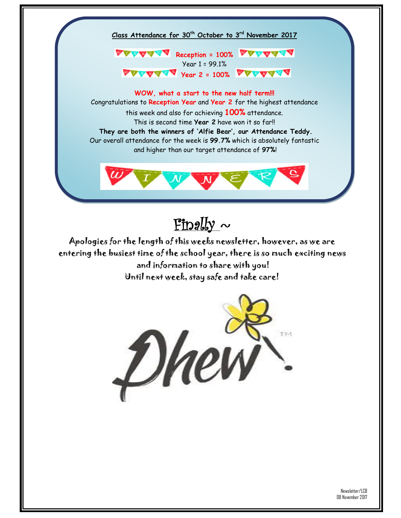

Year 1 = 99.1% *VEAVERY Year 2 = 100%* **VEAVERY** 

**WOW, what a start to the new half term!!!** Congratulations to **Reception Year** and **Year 2** for the highest attendance this week and also for achieving **100%** attendance. This is second time **Year 2** have won it so far!! **They are both the winners of 'Alfie Bear', our Attendance Teddy.** Our overall attendance for the week is **99.7%** which is absolutely fantastic and higher than our target attendance of **97%**!



Finally  $\sim$ 

Apologies for the length of this weeks newsletter, however, as we are entering the busiest time of the school year, there is so much exciting news and information to share with you! Until next week, stay safe and take care!

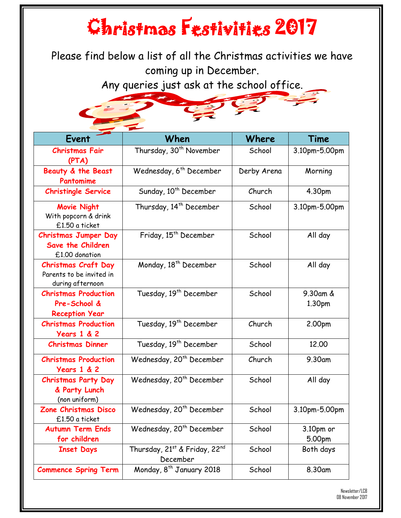# Christmas Festivities 2017

Please find below a list of all the Christmas activities we have coming up in December.

Any queries just ask at the school office.



| Event                                                                      | When                                      | Where       | Time                |
|----------------------------------------------------------------------------|-------------------------------------------|-------------|---------------------|
| <b>Christmas Fair</b><br>(PTA)                                             | Thursday, 30 <sup>th</sup> November       | School      | 3.10pm-5.00pm       |
| Beauty & the Beast<br>Pantomime                                            | Wednesday, 6 <sup>th</sup> December       | Derby Arena | Morning             |
| <b>Christingle Service</b>                                                 | Sunday, 10 <sup>th</sup> December         | Church      | 4.30pm              |
| <b>Movie Night</b><br>With popcorn & drink<br>£1.50 a ticket               | Thursday, 14 <sup>th</sup> December       | School      | 3.10pm-5.00pm       |
| <b>Christmas Jumper Day</b><br>Save the Children<br>£1.00 donation         | Friday, 15 <sup>th</sup> December         | School      | All day             |
| <b>Christmas Craft Day</b><br>Parents to be invited in<br>during afternoon | Monday, 18 <sup>th</sup> December         | School      | All day             |
| <b>Christmas Production</b><br>Pre-School &<br><b>Reception Year</b>       | Tuesday, 19 <sup>th</sup> December        | School      | 9.30am &<br>1.30pm  |
| <b>Christmas Production</b><br><b>Years 1 &amp; 2</b>                      | Tuesday, 19 <sup>th</sup> December        | Church      | 2.00pm              |
| <b>Christmas Dinner</b>                                                    | Tuesday, 19 <sup>th</sup> December        | School      | 12.00               |
| <b>Christmas Production</b><br><b>Years 1 &amp; 2</b>                      | Wednesday, 20 <sup>th</sup> December      | Church      | 9.30am              |
| <b>Christmas Party Day</b><br>& Party Lunch<br>(non uniform)               | Wednesday, 20 <sup>th</sup> December      | School      | All day             |
| Zone Christmas Disco<br>£1.50 a ticket                                     | Wednesday, 20 <sup>th</sup> December      | School      | 3.10pm-5.00pm       |
| <b>Autumn Term Ends</b><br>for children                                    | Wednesday, 20 <sup>th</sup> December      | School      | 3.10pm or<br>5.00pm |
| <b>Inset Days</b>                                                          | Thursday, 21st & Friday, 22nd<br>December | School      | Both days           |
| <b>Commence Spring Term</b>                                                | Monday, 8 <sup>th</sup> January 2018      | School      | 8.30am              |